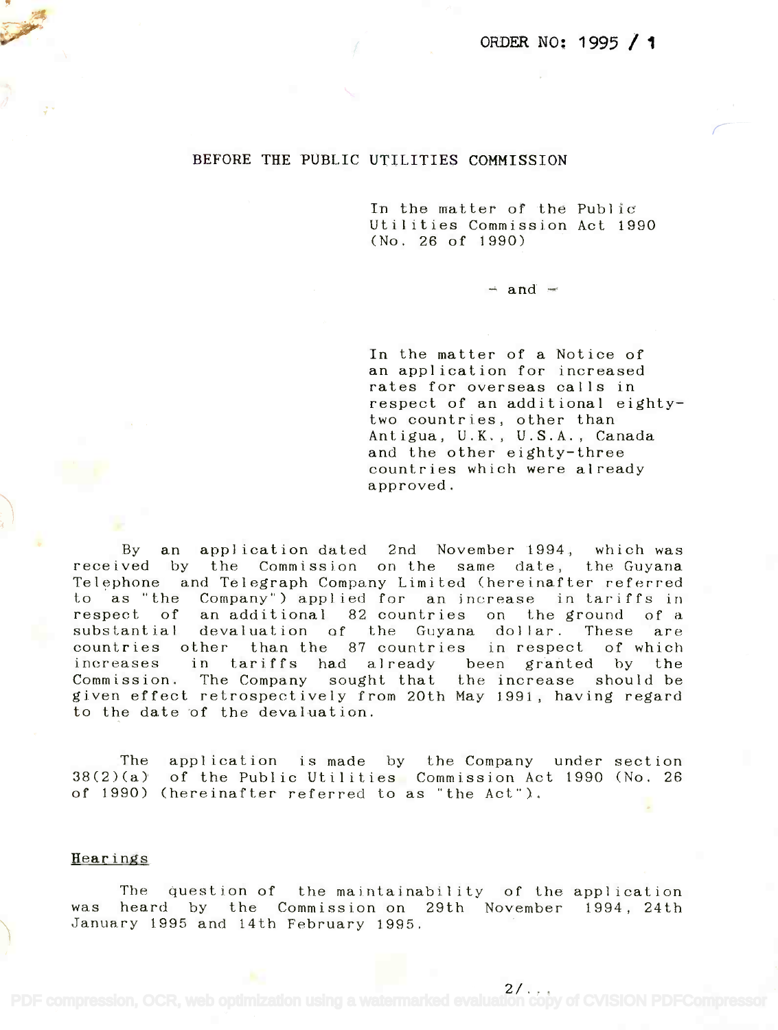### BEFORE THE PUBLIC UTILITIES COMMISSION

In the matter of the Public In the matter of the Publ ic Utilities Commission Act 1990 Utilities Commission Act 1990 (No. 26 of 1990) (No. 26 of 1990)

 $-$  and  $-$ 

In the matter of a Notice of In the matter of a Notice of an application for increased an application for increased rates for overseas calls in rates for overseas calls in respect of an additional eighty-respect of an additional eightytwo countries, other than two countries, other than Antigua, U.K., U.S.A., Canada Antigua, U.K., U.S.A., Canada and the other eighty-three and the other eighty-three countries which were already countries which were already approved. approved.

By an application dated 2nd November 1994, which was By an application dated 2nd November 1994, which was received by the Commission on the same date, the Guyana received by the Commission on the same date, the Guyana Telephone and Telegraph Company Limited (hereinafter referred to as "the Company") applied for an increase in tariffs in to as "the Company") applied for an increase in tariffs in respect of an-additional 82 countries on the ground of a substantial devaluation of the Guyana dollar. These are substantial devaluation of the Guyana dollar. These are countries other than the 87 countries in respect of which countries other than the 87 countries in respect of which increases in tariffs had already been granted by the increases in tariffs had already been granted by the Commission. The Company sought that the increase should be Commission. The Company sought that the increase should be given effect retrospectively from 20th May 1991, having regard given effect retrospectively from 20th May 1991, having regard to the date of the devaluation. to the date of the devaluation.

The application is made by the Company under section The application is made by the Company under section 38(2)(a) of the Public Utilities Commission Act 1990 (No. 26 38(2)(a) of the Public Utilities Commission Act 1990 (No. 26 of 1990) (hereinafter referred to as "the Act"). of 1990) (hereinafter referred to as "the Act").

#### Hearings

The question of the maintainability of the application The question of the maintainability of the appl ication was heard by the Commission on 29th November 1994, 24th was heard by the Commission on 29th November 1994, 24th January 1995 and 14th February 1995. January 1995 and 14th February 1995.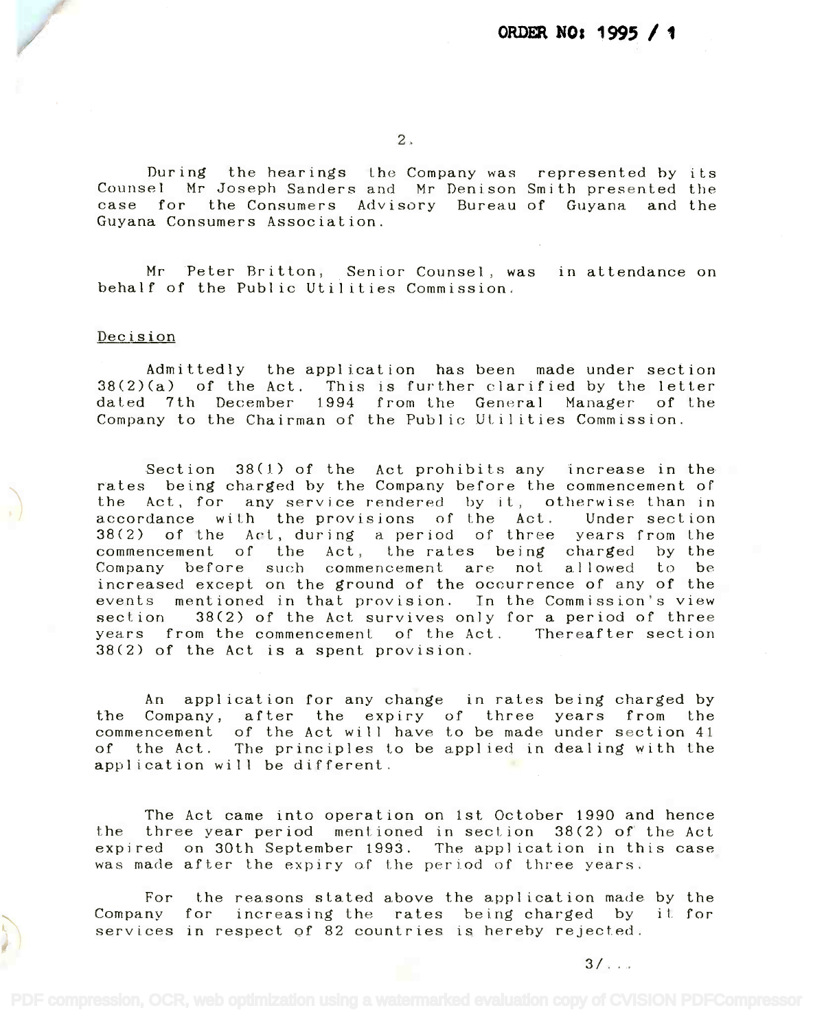During the hearings the Company was represented by its During the hearings the Company was represented by its Counsel Mr Joseph Sanders and Mr Denison Smith presented the Counsel Mr Joseph Sanders and Mr Denison Smith presented the case for the Consumers Advisory Bureau of Guyana and the Guyana Consumers Association. Guyana Consumers Association.

Mr Peter Britton, Senior Counsel, was in attendance on behalf of the Public Utilities Commission. behalf of the Public Utilities Commission.

#### Decision

Admittedly the application has been made under section Admittedly the application has been made under section 38(2)(a) of the Act. This is further clarified by the letter 38(2)(a) of the Act. This is further clarified by the letter dated 7th December 1994 from the General Manager of the dated 7th December 1994 from the General Manager of the Company to the Chairman of the Public Utilities Commission. Company to the Chairman of the Public Utilities Commission.

Section 38(1) of the Act prohibits any increase in the Section 38(1) of the Act prohibits any increase in the rates being charged by the Company before the commencement of the Act, for any service rendered by it, otherwise than in accordance with the provisions of the Act. Under section accordance with the provisions of the Act. Under section 38(2) of the Act, during a period of three years from the 38(2) of the Act, during a period of three years from the commencement of the Act, the rates being charged by the commencement of the Act, the rates being charged by the Company before such commencement are not allowed to be increased except on the ground of the occurrence of any of the increased except on the ground of the occurrence of any of the events mentioned in that provision. In the Commission's view events mentioned in that provision. In the Commission's view section 38(2) of the Act survives only for a period of three section 38(2) of the Act survives only for a period of three years from the commencement of the Act. Thereafter section years from the commencement of the Act. Thereafter section 38(2) of the Act is a spent provision. 38(2) of the Act is a spent provision.

An application for any change in rates being charged by An application for any change in rates being charged by the Company, after the expiry of three years from the the Company, after the expiry of three years from the commencement of the Act will have to be made under section 41 commencement of the Act will have to be made under section 41 of the Act. The principles to be applied in dealing with the of the Act. The principles to be applied in dealing with the application will be different. application will be different.

The Act came into operation on 1st October 1990 and hence The Act came into operation on 1st October 1990 and hence the three year period mentioned in section 38(2) of the Act expired on 30th September 1993. The application in this case expired on 30th September 1993. The application in this case was made after the expiry of the period of three years. was made after the expiry of the period of three years.

For the reasons stated above the application made by the For the reasons stated above the application made by the Company for increasing the rates being charged by it for Company for increasing the rates being charged by it for services in respect of 82 countries is hereby rejected. services in respect of 82 countries is hereby rejected.

 $3/$ . . . .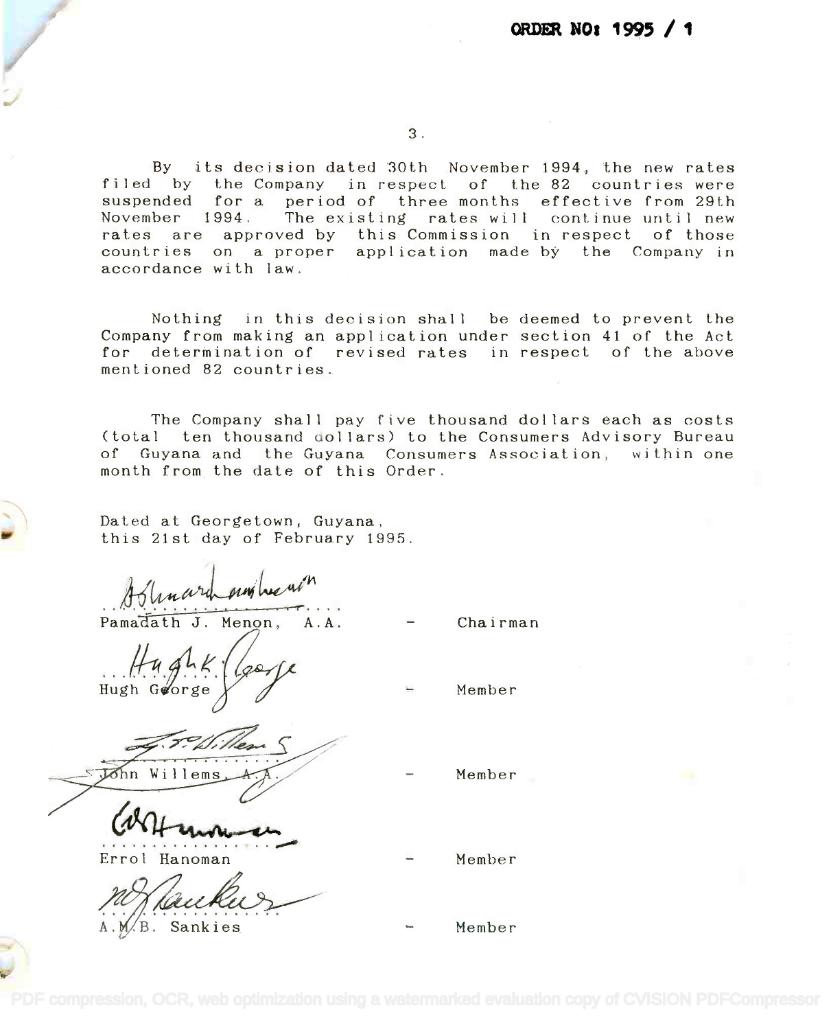## ORDER NO: 1995 /

3.

By its decision dated 30th November 1994, the new rates By its decision dated 30th November1994, the new rates filed by the Company in respect of the 82 countries were filed by the Company in respect of the 82 countries were suspended for a period of three months effective from 29th suspended for a period of three months effective from 29th November 1994. The existing rates will continue until new November 1994. The existing rates will continue until new rates are approved by this Commission in respect of those countries on a proper application made-bythe Companyin accordance with law. accordance with law.

Nothing in this decision shall be deemed to prevent the Nothing in this decision shall be deemed to prevent the Company from making an application under section 41 of the Act Company from making an application under section 41 of the Act for determination of revised rates in respect of the above for determination of revised rates in respect of the above mentioned 82 countries. mentioned 82 countries.

The Company shall pay five thousand dollars each as costs The Company shall pay five thousand dollars each as costs (total ten thousand dollars) to the Consumers Advisory Bureau (total ten thousand ollars) to the Consumers Advisory Bureau of Guyana and the Guyana Consumers Association, within one of Guyana and the Guyana Consumers Association, within one month from the date of this Order. month from the date of this Order.

Dated at Georgetown, Guyana, Dated at Georgetown, Guyana, this 21st day of February 1995. this 21st day of February 1995.

Hylunard and head?<br>Pamadath J. Menon, A.A.

Pamadath J. Menon, A.A.

... . . . . Hugh K (gorje Chairman

n Willems A.A. *·7?~S .*

~  $\overline{a}$ 

Member

Member

Errol Hanoman Errol Hanoman

A.M.B. Sankies

Member

Member

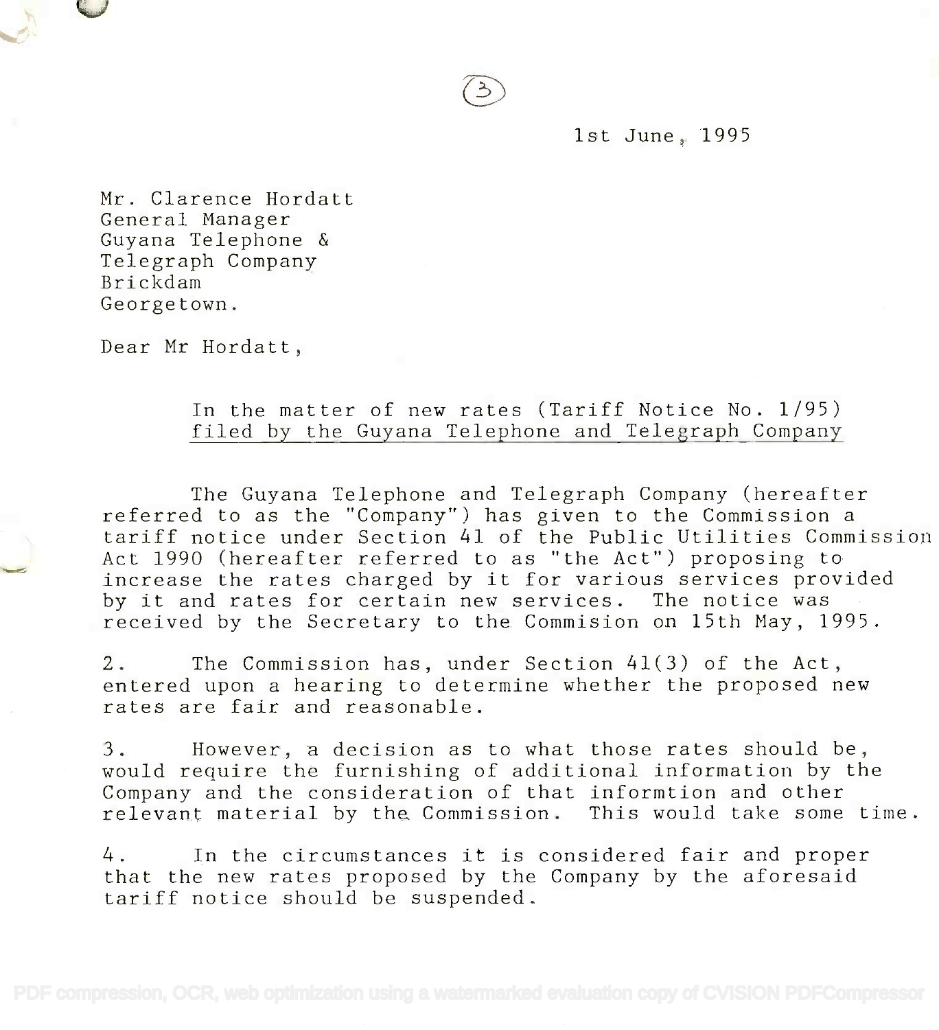1st June, 1995

Mr. Clarence Hordatt Mr. Clarence Hordatt General Manager General Manager Guyana Telephone & Guyana Telephone & Telegraph Company Telegraph Company Brickdam Brickdam . Georgetown. Georgetown.

Dear Mr Hordatt,

## In the matter of new rates (Tariff Notice No. 1/95) In the matter of new rates (Tariff Notice No. 1/95) filed by the Guyana Telephone and Telegraph Company filed by the Guyana Telephone and Telegraph Company

The Guyana Telephone and Telegraph Company (hereafter The Guyana Telephone and Telegraph Company (hereafter referred to as the "Company") has given to the Commission a referred to as the "Company") has given to the Commission a tariff notice under Section 41 of the Public Utilities Commission tariff notice under Section 41 of the Public Utilities Commission Act 1990 (hereafter referred to as "the Act") proposing to Act 1990 (hereafter referred to as "the Act") proposing to increase the rates charged by it for various services provided increase the rates charged by it for various services provided by it and rates for certain new services. The notice was received by the Secretary to the Commision on 15th May, 1995. received by the Secretary to the Commision on 15th May, 1995.

2. The Commission has, under Section 41(3) of the Act, 2. The Commission has, under Section 41(3) of the Act, entered upon a hearing to determine whether the proposed new entered upon a hearing to determine whether the proposed new rates are fair and reasonable. rates are fair and reasonable.

3. However, a decision as to what those rates should be, 3. However, a decision as to what those rates should be, would require the furnishing of additional information by the would require the furnishing of additional information by the Company and the consideration of that informtion and other Company and the consideration of that informtion and other relevant material by the Commission. This would take some time. relevant material by the Commission. This would take some time.

4. In the circumstances it is considered fair and proper 4. In the circumstances it is considered fair and proper that the new rates proposed by the Company by the aforesaid that the new rates proposed by the Company by the aforesaid tariff notice should be suspended. tariff notice should be suspended.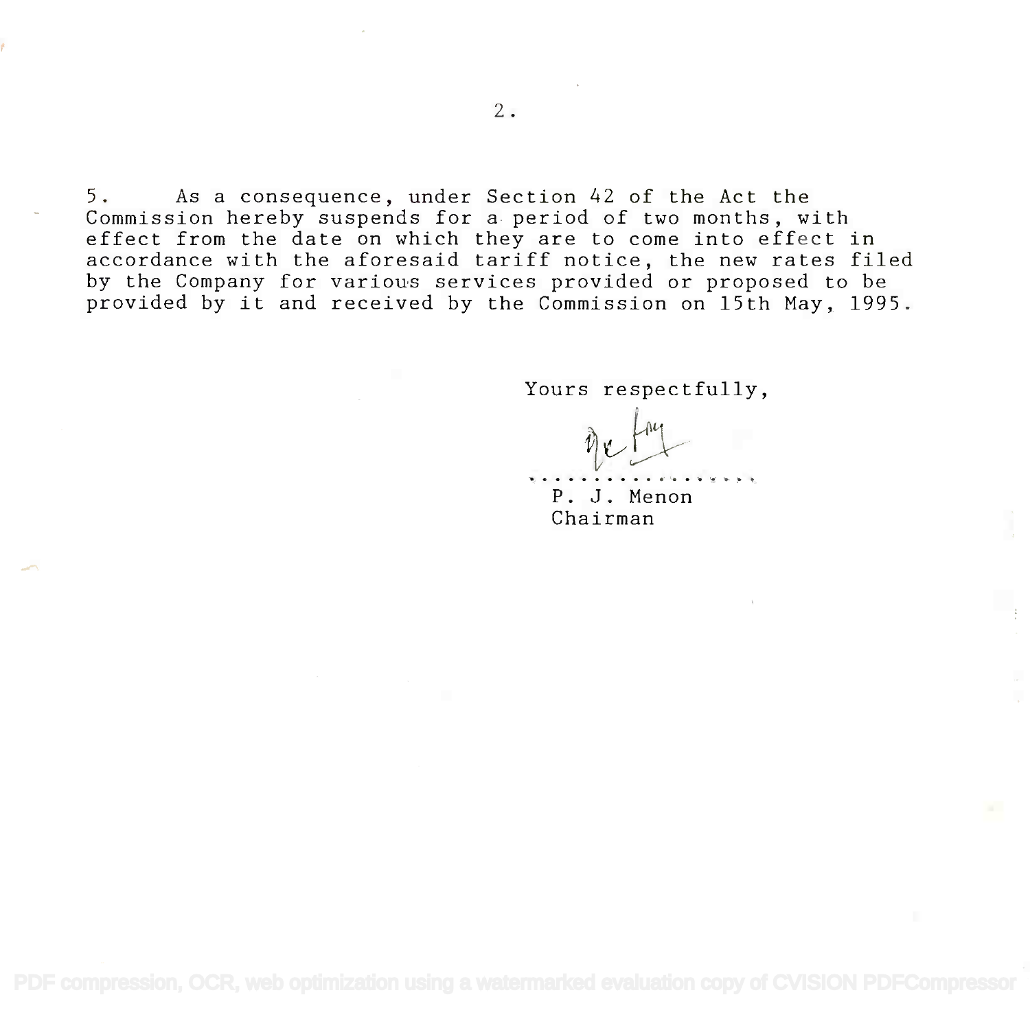5. As a consequence, under Section 42 of the Act the 5. As a consequence, under Section 42 of the Act the Commission hereby suspends for a period of two months, with Commission hereby suspends for a period of two months, with effect from the date on which they are to come into effect in effect from the date on which they are to come into effect in accordance with the aforesaid tariff notice, the new rates filed accordance with the aforesaid tariff notice, the new rates filed by the Company for various services provided or proposed to be by the Company for various services provided or proposed to be provided by it and received by the Commission on 15th May, 1995. provided by it and received by the Commission on 15th May, 1995.

Yours respectfully, Yours respectfully,

~~

P. J. J. Menon **P. J.** Menon Chairman Chairman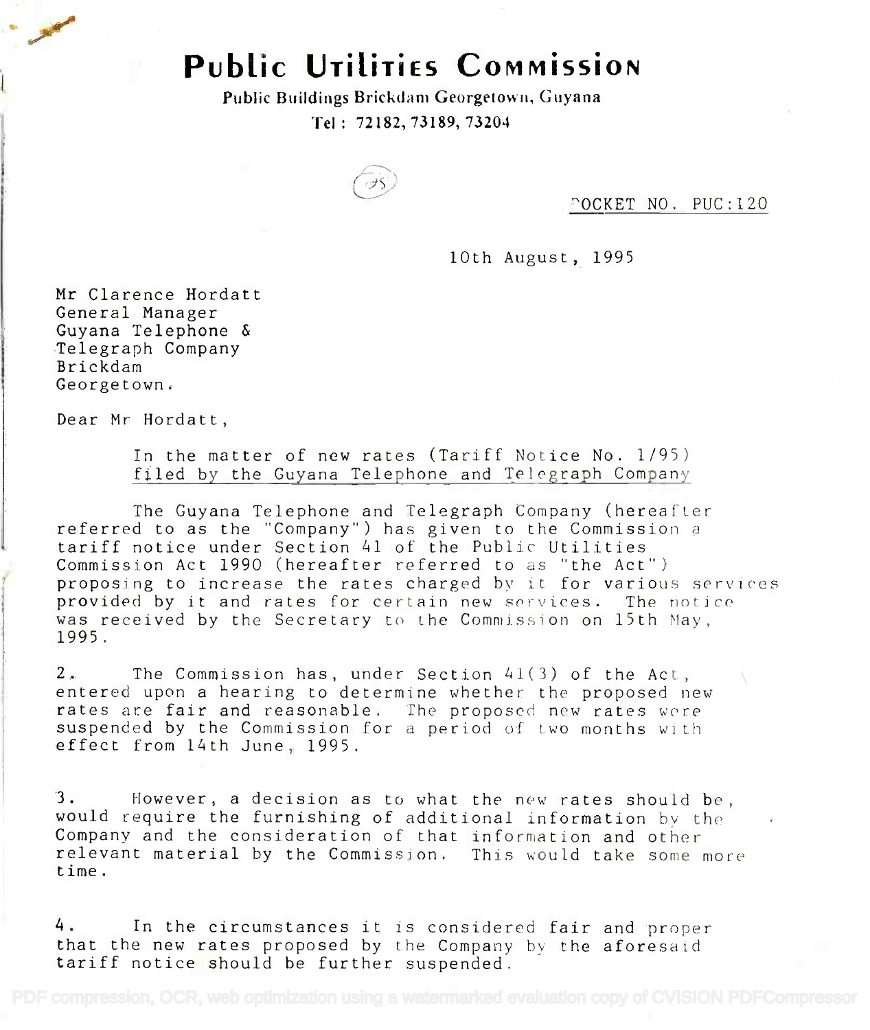# Public UTILITIES COMMISSION **PubLic UTiLiTiEs COMMissioN**

Public Buildings Brickdam Georgetown, Guyana Public Buildings Brickdam Georgetown, Guyana Tel : 72182, 73189, 73204 Tel: 72182,73189,73204



'OCKET NO. PUC:120

10th August, 1995

Mr Clarence Hordatt Mr Clarence Hordatt General Manager General Manager Guyana Telephone & Guyana Telephone & Telegraph Company Telegraph Company Brickdam Brickdam Georgetown. Georgetown.

Dear Mr Hordatt,

Tn the matter of new rates (Tariff Notice No. 1/95) In the matter of new rates (Tariff Notice No. 1/95) filed by the Guyana Telephone and Telegraph Company filed by the Guyana Telephone and Te10graph Company

The Guyana Telephone and Telegraph Company (hereafter The Guyana Telephone and Telegraph Company (hereafter referred to as the "Company") has given to the Commission a referred to as the "Company") has given to the Commission a tariff notice under Section 41 of the Public Utilities tariff notice under Section 41 of the Public Utilities Commission Act 1990 (hereafter referred to as "the Act") Commission Act 1990 (hereafter referred to as "the Act") proposing to increase the rates charged by it for various services proposing to increase the rates charged by it for various services provided by it and rates for certain new services. The notice provided by it and rates for certain new services. The notice was received by the Secretary to the Commission on 15th May, 1995. 1995.

2. The Commission has, under Section 41(3) of the Act, 2. The Commission has, under Section 41(3) of the Act, entered upon a hearing to determine whether the proposed new rates are fair and reasonable. The proposed new rates were suspended by the Commission for a period of two months with suspended by the Commission for a period of Lwo months WI tll effect from 14th June, 1995. effect from 14th June, 1995.

3. However, a decision as to what the new rates should be, 3. However, a decision as to what the new rates should be, would require the furnishing of additional information by the would require the furnishing of additional information by the Company and the consideration of that information and other Company and the consideration of that information and other relevant material by the Commission. This would take some more relevant material by the Commission. This would take some more time. time.

4. In the circumstances it is considered fair and proper 4. In the circumstances it is considered fair and proper that the new rates proposed by the Company by the aforesaid that the new rates proposed by the Company by the aforesaid tariff notice should be further suspended. tariff notice should be further suspended.